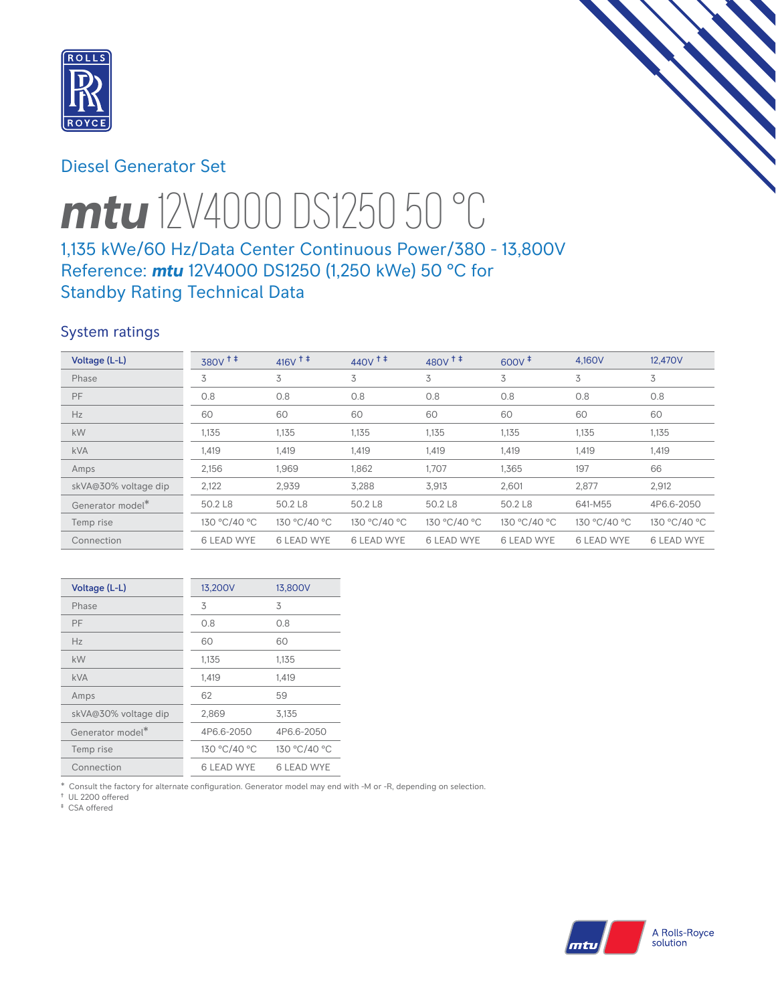

# Diesel Generator Set



# *mtu* 12V4000 DS1250 50 °C 1,135 kWe/60 Hz/Data Center Continuous Power/380 - 13,800V

# Reference: *mtu* 12V4000 DS1250 (1,250 kWe) 50 °C for Standby Rating Technical Data

# System ratings

| Voltage (L-L)        | 380V <sup>+</sup> | $416V$ <sup>++</sup> | $440V$ <sup>++</sup> | $480V$ <sup>++</sup> | $600V^{\ddagger}$ | 4,160V            | 12,470V           |
|----------------------|-------------------|----------------------|----------------------|----------------------|-------------------|-------------------|-------------------|
| Phase                | 3                 | 3                    | 3                    | 3                    | 3                 | 3                 | 3                 |
| PF                   | 0.8               | 0.8                  | 0.8                  | 0.8                  | 0.8               | 0.8               | 0.8               |
| Hz                   | 60                | 60                   | 60                   | 60                   | 60                | 60                | 60                |
| kW                   | 1,135             | 1,135                | 1,135                | 1,135                | 1,135             | 1,135             | 1,135             |
| <b>kVA</b>           | 1,419             | 1,419                | 1,419                | 1,419                | 1,419             | 1,419             | 1,419             |
| Amps                 | 2,156             | 1,969                | 1,862                | 1,707                | 1,365             | 197               | 66                |
| skVA@30% voltage dip | 2,122             | 2,939                | 3,288                | 3,913                | 2,601             | 2,877             | 2,912             |
| Generator model*     | 50.2 L8           | 50.2 L8              | 50.2 L8              | 50.2 L8              | 50.2 L8           | 641-M55           | 4P6.6-2050        |
| Temp rise            | 130 °C/40 °C      | 130 °C/40 °C         | 130 °C/40 °C         | 130 °C/40 °C         | 130 °C/40 °C      | 130 °C/40 °C      | 130 °C/40 °C      |
| Connection           | <b>6 LEAD WYE</b> | <b>6 LEAD WYE</b>    | <b>6 LEAD WYE</b>    | <b>6 LEAD WYE</b>    | <b>6 LEAD WYE</b> | <b>6 LEAD WYE</b> | <b>6 LEAD WYE</b> |

| Voltage (L-L)        | 13,200V           | 13,800V      |
|----------------------|-------------------|--------------|
| Phase                | 3                 | 3            |
| PF                   | 0.8               | 0.8          |
| Hz                   | 60                | 60           |
| kW                   | 1,135             | 1,135        |
| <b>kVA</b>           | 1,419             | 1,419        |
| Amps                 | 62                | 59           |
| skVA@30% voltage dip | 2,869             | 3.135        |
| Generator model*     | 4P6.6-2050        | 4P6.6-2050   |
| Temp rise            | 130 °C/40 °C      | 130 °C/40 °C |
| Connection           | <b>6 LEAD WYE</b> | 6 LEAD WYE   |

\* Consult the factory for alternate configuration. Generator model may end with -M or -R, depending on selection.

† UL 2200 offered ‡ CSA offered

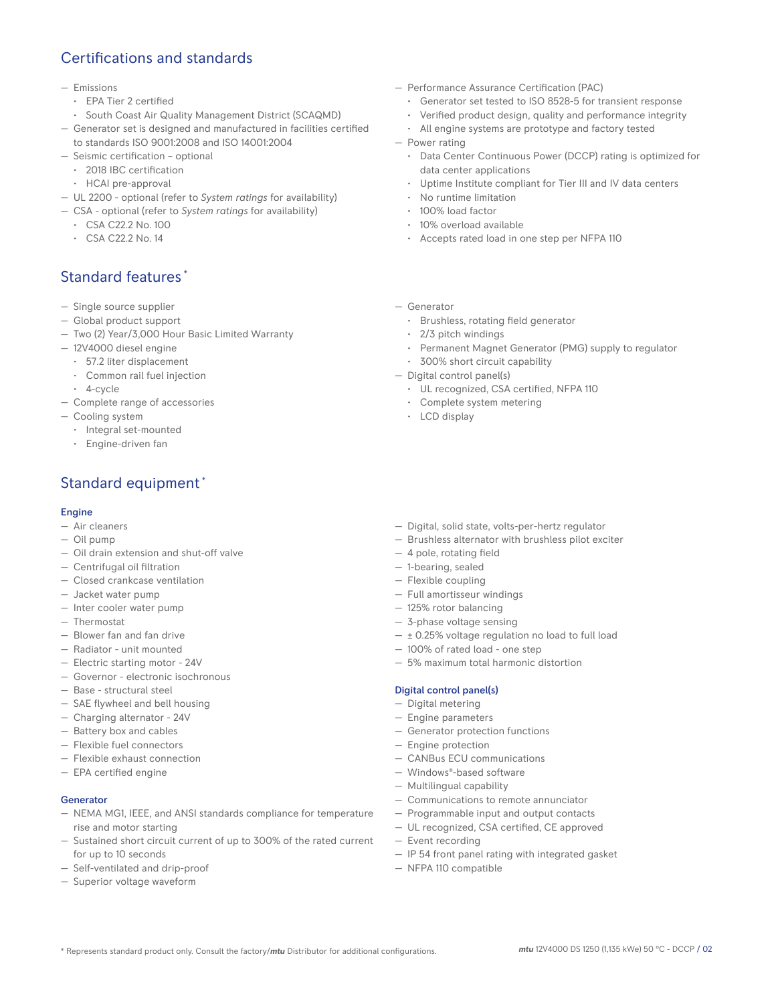# Certifications and standards

#### — Emissions

- EPA Tier 2 certified
- South Coast Air Quality Management District (SCAQMD)
- Generator set is designed and manufactured in facilities certified to standards ISO 9001:2008 and ISO 14001:2004
- Seismic certification optional
	- 2018 IBC certification
	- HCAI pre-approval
- UL 2200 optional (refer to *System ratings* for availability)
- CSA optional (refer to *System ratings* for availability)
	- CSA C22.2 No. 100
	- CSA C22.2 No. 14

# Standard features \*

- Single source supplier
- Global product support
- Two (2) Year/3,000 Hour Basic Limited Warranty
- 12V4000 diesel engine
	- 57.2 liter displacement
	- Common rail fuel injection
	- 4-cycle
- Complete range of accessories
- Cooling system
	- Integral set-mounted
	- Engine-driven fan

# Standard equipment \*

### Engine

- Air cleaners
- Oil pump
- Oil drain extension and shut-off valve
- Centrifugal oil filtration
- Closed crankcase ventilation
- Jacket water pump
- Inter cooler water pump
- Thermostat
- Blower fan and fan drive
- Radiator unit mounted
- Electric starting motor 24V
- Governor electronic isochronous
- Base structural steel
- SAE flywheel and bell housing
- Charging alternator 24V
- Battery box and cables
- Flexible fuel connectors
- Flexible exhaust connection
- EPA certified engine

### Generator

- NEMA MG1, IEEE, and ANSI standards compliance for temperature rise and motor starting
- Sustained short circuit current of up to 300% of the rated current for up to 10 seconds
- Self-ventilated and drip-proof
- Superior voltage waveform
- Performance Assurance Certification (PAC)
	- Generator set tested to ISO 8528-5 for transient response
	- Verified product design, quality and performance integrity
	- All engine systems are prototype and factory tested
- Power rating
	- Data Center Continuous Power (DCCP) rating is optimized for data center applications
	- Uptime Institute compliant for Tier III and IV data centers
	- No runtime limitation
	- 100% load factor
	- 10% overload available
	- Accepts rated load in one step per NFPA 110
- Generator
	- Brushless, rotating field generator
	- 2/3 pitch windings
	- Permanent Magnet Generator (PMG) supply to regulator
	- 300% short circuit capability
- Digital control panel(s)
	- UL recognized, CSA certified, NFPA 110
	- Complete system metering
	- LCD display
- Digital, solid state, volts-per-hertz regulator
- Brushless alternator with brushless pilot exciter
- 4 pole, rotating field
- 1-bearing, sealed
- Flexible coupling
- Full amortisseur windings
- 125% rotor balancing
- 3-phase voltage sensing
- $\pm$  0.25% voltage regulation no load to full load
- 100% of rated load one step
- 5% maximum total harmonic distortion

#### Digital control panel(s)

- Digital metering
- Engine parameters
- Generator protection functions
- Engine protection
- CANBus ECU communications
- Windows®-based software
- Multilingual capability
- Communications to remote annunciator
- Programmable input and output contacts
- UL recognized, CSA certified, CE approved
- Event recording
- IP 54 front panel rating with integrated gasket
- NFPA 110 compatible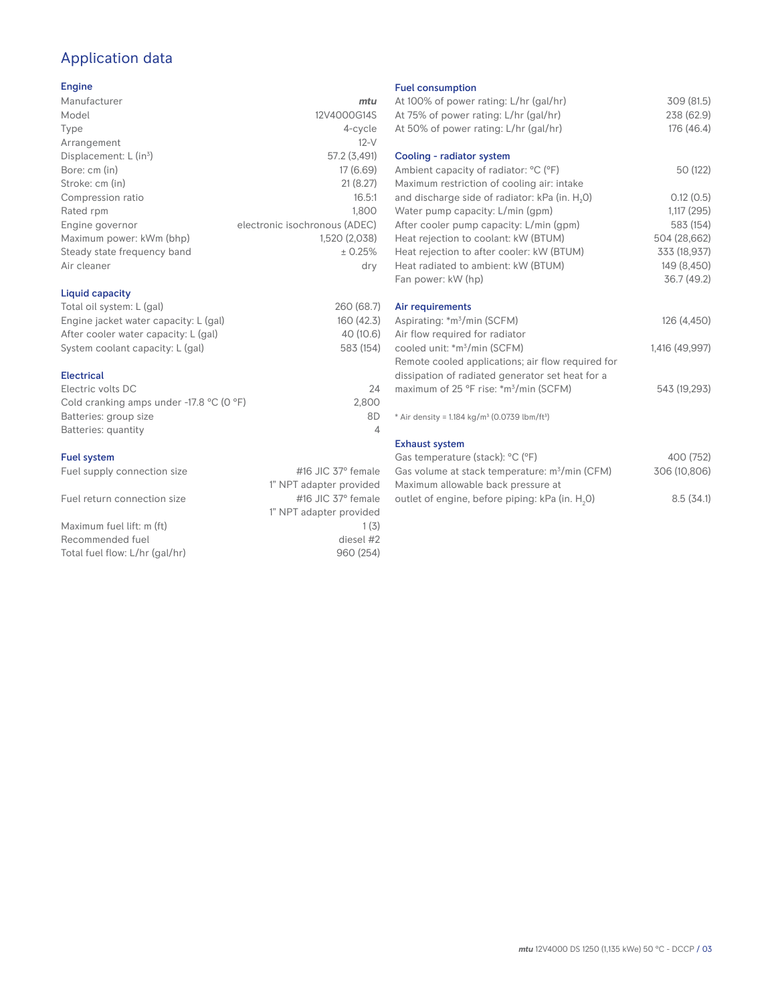# Application data

### Engine

| Manufacturer                         | mtu                           |
|--------------------------------------|-------------------------------|
| Model                                | 12V4000G14S                   |
| Type                                 | 4-cycle                       |
| Arrangement                          | $12-V$                        |
| Displacement: $L$ (in <sup>3</sup> ) | 57.2 (3,491)                  |
| Bore: cm (in)                        | 17 (6.69)                     |
| Stroke: cm (in)                      | 21(8.27)                      |
| Compression ratio                    | 16.5:1                        |
| Rated rpm                            | 1.800                         |
| Engine governor                      | electronic isochronous (ADEC) |
| Maximum power: kWm (bhp)             | 1,520 (2,038)                 |
| Steady state frequency band          | ± 0.25%                       |
| Air cleaner                          | dry                           |
|                                      |                               |

### Liquid capacity

| Total oil system: L (gal)             | 260 (68.7) |
|---------------------------------------|------------|
| Engine jacket water capacity: L (gal) | 160 (42.3) |
| After cooler water capacity: L (gal)  | 40 (10.6)  |
| System coolant capacity: L (gal)      | 583 (154)  |
|                                       |            |

### Electrical

| 24    |
|-------|
| 2.800 |
| 8D    |
|       |
|       |

### Fuel system

| Fuel supply connection size    | #16 JIC $37^\circ$ female |
|--------------------------------|---------------------------|
|                                | 1" NPT adapter provided   |
| Fuel return connection size    | #16 JIC $37^\circ$ female |
|                                | 1" NPT adapter provided   |
| Maximum fuel lift: m (ft)      | 1(3)                      |
| Recommended fuel               | diesel #2                 |
| Total fuel flow: L/hr (gal/hr) | 960 (254)                 |
|                                |                           |

### Fuel consumption

| At 100% of power rating: L/hr (gal/hr)<br>At 75% of power rating: L/hr (gal/hr)<br>At 50% of power rating: L/hr (gal/hr) | 309 (81.5)<br>238 (62.9)<br>176 (46.4) |
|--------------------------------------------------------------------------------------------------------------------------|----------------------------------------|
| Cooling - radiator system                                                                                                |                                        |
| Ambient capacity of radiator: °C (°F)<br>Maximum restriction of cooling air: intake                                      | 50 (122)                               |
| and discharge side of radiator: kPa (in. H <sub>2</sub> 0)                                                               | 0.12(0.5)                              |
| Water pump capacity: L/min (gpm)                                                                                         | 1,117(295)                             |
| After cooler pump capacity: L/min (gpm)                                                                                  | 583 (154)                              |
| Heat rejection to coolant: kW (BTUM)                                                                                     | 504 (28,662)                           |
| Heat rejection to after cooler: kW (BTUM)                                                                                | 333 (18,937)                           |
| Heat radiated to ambient: kW (BTUM)                                                                                      | 149 (8,450)                            |
| Fan power: kW (hp)                                                                                                       | 36.7 (49.2)                            |
| Air requirements                                                                                                         |                                        |
| Aspirating: *m <sup>3</sup> /min (SCFM)                                                                                  | 126 (4,450)                            |
| Air flow required for radiator                                                                                           |                                        |
| cooled unit: *m <sup>3</sup> /min (SCFM)                                                                                 | 1,416 (49,997)                         |
| Remote cooled applications; air flow required for                                                                        |                                        |
| dissipation of radiated generator set heat for a                                                                         |                                        |
| maximum of 25 °F rise: *m <sup>3</sup> /min (SCFM)                                                                       | 543 (19,293)                           |
| * Air density = 1.184 kg/m <sup>3</sup> (0.0739 lbm/ft <sup>3</sup> )                                                    |                                        |
| <b>Exhaust system</b>                                                                                                    |                                        |
| Gas temperature (stack): °C (°F)                                                                                         | 400 (752)                              |
| Gas volume at stack temperature: m <sup>3</sup> /min (CFM)                                                               | 306 (10,806)                           |

| Maximum allowable back pressure at                          |  |  |           |  |
|-------------------------------------------------------------|--|--|-----------|--|
| outlet of engine, before piping: kPa (in. H <sub>2</sub> 0) |  |  | 8.5(34.1) |  |